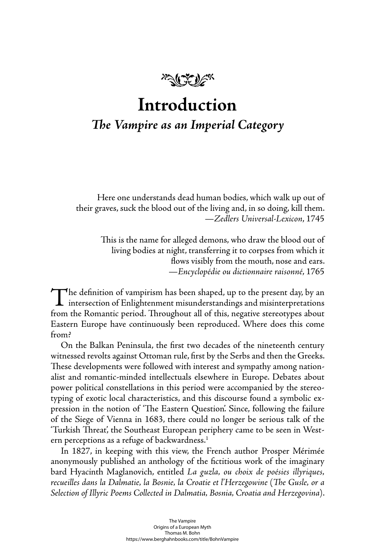

# **Introduction**

## **The Vampire as an Imperial Category**

Here one understands dead human bodies, which walk up out of their graves, suck the blood out of the living and, in so doing, kill them. —*Zedlers Universal-Lexicon*, 1745

> This is the name for alleged demons, who draw the blood out of living bodies at night, transferring it to corpses from which it flows visibly from the mouth, nose and ears. —*Encyclopédie ou dictionnaire raisonné*, 1765

The definition of vampirism has been shaped, up to the present day, by an intersection of Enlightenment misunderstandings and misinterpretations from the Romantic period. Throughout all of this, negative stereotypes about from the Romantic period. Throughout all of this, negative stereotypes about Eastern Europe have continuously been reproduced. Where does this come from?

On the Balkan Peninsula, the first two decades of the nineteenth century witnessed revolts against Ottoman rule, first by the Serbs and then the Greeks. These developments were followed with interest and sympathy among nationalist and romantic-minded intellectuals elsewhere in Europe. Debates about power political constellations in this period were accompanied by the stereotyping of exotic local characteristics, and this discourse found a symbolic expression in the notion of 'The Eastern Question'. Since, following the failure of the Siege of Vienna in 1683, there could no longer be serious talk of the 'Turkish Threat', the Southeast European periphery came to be seen in Western perceptions as a refuge of backwardness.<sup>1</sup>

In 1827, in keeping with this view, the French author Prosper Mérimée anonymously published an anthology of the fictitious work of the imaginary bard Hyacinth Maglanovich, entitled *La guzla, ou choix de poésies illyriques, recueilles dans la Dalmatie, la Bosnie, la Croatie et l'Herzegowine* (*Th e Gusle, or a Selection of Illyric Poems Collected in Dalmatia, Bosnia, Croatia and Herzegovina*).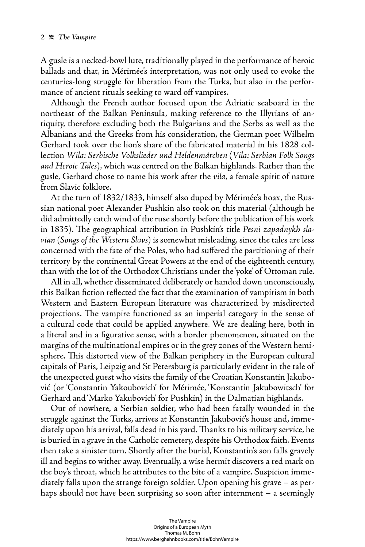A gusle is a necked-bowl lute, traditionally played in the performance of heroic ballads and that, in Mérimée's interpretation, was not only used to evoke the centuries-long struggle for liberation from the Turks, but also in the performance of ancient rituals seeking to ward off vampires.

Although the French author focused upon the Adriatic seaboard in the northeast of the Balkan Peninsula, making reference to the Illyrians of antiquity, therefore excluding both the Bulgarians and the Serbs as well as the Albanians and the Greeks from his consideration, the German poet Wilhelm Gerhard took over the lion's share of the fabricated material in his 1828 collection *Wila: Serbische Volkslieder und Heldenmärchen* (*Vila: Serbian Folk Songs and Heroic Tales*), which was centred on the Balkan highlands. Rather than the gusle, Gerhard chose to name his work after the *vila*, a female spirit of nature from Slavic folklore.

At the turn of 1832/1833, himself also duped by Mérimée's hoax, the Russian national poet Alexander Pushkin also took on this material (although he did admittedly catch wind of the ruse shortly before the publication of his work in 1835). The geographical attribution in Pushkin's title *Pesni zapadnykh slavian* (*Songs of the Western Slavs*) is somewhat misleading, since the tales are less concerned with the fate of the Poles, who had suffered the partitioning of their territory by the continental Great Powers at the end of the eighteenth century, than with the lot of the Orthodox Christians under the 'yoke' of Ottoman rule.

All in all, whether disseminated deliberately or handed down unconsciously, this Balkan fiction reflected the fact that the examination of vampirism in both Western and Eastern European literature was characterized by misdirected projections. The vampire functioned as an imperial category in the sense of a cultural code that could be applied anywhere. We are dealing here, both in a literal and in a figurative sense, with a border phenomenon, situated on the margins of the multinational empires or in the grey zones of the Western hemisphere. This distorted view of the Balkan periphery in the European cultural capitals of Paris, Leipzig and St Petersburg is particularly evident in the tale of the unexpected guest who visits the family of the Croatian Konstantin Jakubović (or 'Constantin Yakoubovich' for Mérimée, 'Konstantin Jakubowitsch' for Gerhard and 'Marko Yakubovich' for Pushkin) in the Dalmatian highlands.

Out of nowhere, a Serbian soldier, who had been fatally wounded in the struggle against the Turks, arrives at Konstantin Jakubović's house and, immediately upon his arrival, falls dead in his yard. Thanks to his military service, he is buried in a grave in the Catholic cemetery, despite his Orthodox faith. Events then take a sinister turn. Shortly after the burial, Konstantin's son falls gravely ill and begins to wither away. Eventually, a wise hermit discovers a red mark on the boy's throat, which he attributes to the bite of a vampire. Suspicion immediately falls upon the strange foreign soldier. Upon opening his grave – as perhaps should not have been surprising so soon after internment – a seemingly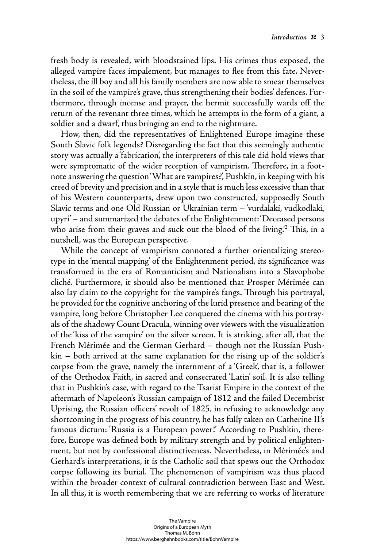fresh body is revealed, with bloodstained lips. His crimes thus exposed, the alleged vampire faces impalement, but manages to flee from this fate. Nevertheless, the ill boy and all his family members are now able to smear themselves in the soil of the vampire's grave, thus strengthening their bodies' defences. Furthermore, through incense and prayer, the hermit successfully wards off the return of the revenant three times, which he attempts in the form of a giant, a soldier and a dwarf, thus bringing an end to the nightmare.

How, then, did the representatives of Enlightened Europe imagine these South Slavic folk legends? Disregarding the fact that this seemingly authentic story was actually a 'fabrication', the interpreters of this tale did hold views that were symptomatic of the wider reception of vampirism. Therefore, in a footnote answering the question 'What are vampires?', Pushkin, in keeping with his creed of brevity and precision and in a style that is much less excessive than that of his Western counterparts, drew upon two constructed, supposedly South Slavic terms and one Old Russian or Ukrainian term – 'vurdalaki, vudkodlaki, upyri' – and summarized the debates of the Enlightenment: 'Deceased persons who arise from their graves and suck out the blood of the living. $\degree$  This, in a nutshell, was the European perspective.

While the concept of vampirism connoted a further orientalizing stereotype in the 'mental mapping' of the Enlightenment period, its significance was transformed in the era of Romanticism and Nationalism into a Slavophobe cliché. Furthermore, it should also be mentioned that Prosper Mérimée can also lay claim to the copyright for the vampire's fangs. Through his portrayal, he provided for the cognitive anchoring of the lurid presence and bearing of the vampire, long before Christopher Lee conquered the cinema with his portrayals of the shadowy Count Dracula, winning over viewers with the visualization of the 'kiss of the vampire' on the silver screen. It is striking, after all, that the French Mérimée and the German Gerhard – though not the Russian Pushkin – both arrived at the same explanation for the rising up of the soldier's corpse from the grave, namely the internment of a 'Greek', that is, a follower of the Orthodox Faith, in sacred and consecrated 'Latin' soil. It is also telling that in Pushkin's case, with regard to the Tsarist Empire in the context of the aftermath of Napoleon's Russian campaign of 1812 and the failed Decembrist Uprising, the Russian officers' revolt of 1825, in refusing to acknowledge any shortcoming in the progress of his country, he has fully taken on Catherine II's famous dictum: 'Russia is a European power!' According to Pushkin, therefore, Europe was defined both by military strength and by political enlightenment, but not by confessional distinctiveness. Nevertheless, in Mérimée's and Gerhard's interpretations, it is the Catholic soil that spews out the Orthodox corpse following its burial. The phenomenon of vampirism was thus placed within the broader context of cultural contradiction between East and West. In all this, it is worth remembering that we are referring to works of literature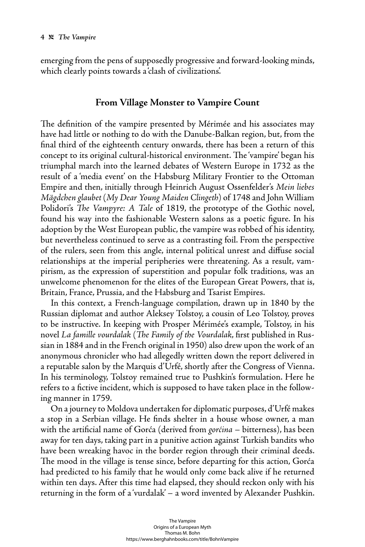emerging from the pens of supposedly progressive and forward-looking minds, which clearly points towards a 'clash of civilizations'.

### **From Village Monster to Vampire Count**

The definition of the vampire presented by Mérimée and his associates may have had little or nothing to do with the Danube-Balkan region, but, from the final third of the eighteenth century onwards, there has been a return of this concept to its original cultural-historical environment. The 'vampire' began his triumphal march into the learned debates of Western Europe in 1732 as the result of a 'media event' on the Habsburg Military Frontier to the Ottoman Empire and then, initially through Heinrich August Ossenfelder's *Mein liebes Mägdchen glaubet* (*My Dear Young Maiden Clingeth*) of 1748 and John William Polidori's *The Vampyre: A Tale* of 1819, the prototype of the Gothic novel, found his way into the fashionable Western salons as a poetic figure. In his adoption by the West European public, the vampire was robbed of his identity, but nevertheless continued to serve as a contrasting foil. From the perspective of the rulers, seen from this angle, internal political unrest and diffuse social relationships at the imperial peripheries were threatening. As a result, vampirism, as the expression of superstition and popular folk traditions, was an unwelcome phenomenon for the elites of the European Great Powers, that is, Britain, France, Prussia, and the Habsburg and Tsarist Empires.

In this context, a French-language compilation, drawn up in 1840 by the Russian diplomat and author Aleksey Tolstoy, a cousin of Leo Tolstoy, proves to be instructive. In keeping with Prosper Mérimée's example, Tolstoy, in his novel *La famille vourdalak* (*The Family of the Vourdalak*, first published in Russian in 1884 and in the French original in 1950) also drew upon the work of an anonymous chronicler who had allegedly written down the report delivered in a reputable salon by the Marquis d'Urfé, shortly after the Congress of Vienna. In his terminology, Tolstoy remained true to Pushkin's formulation. Here he refers to a fictive incident, which is supposed to have taken place in the following manner in 1759.

On a journey to Moldova undertaken for diplomatic purposes, d'Urfé makes a stop in a Serbian village. He finds shelter in a house whose owner, a man with the artificial name of Gorća (derived from *gorćina* – bitterness), has been away for ten days, taking part in a punitive action against Turkish bandits who have been wreaking havoc in the border region through their criminal deeds. The mood in the village is tense since, before departing for this action, Gorća had predicted to his family that he would only come back alive if he returned within ten days. After this time had elapsed, they should reckon only with his returning in the form of a 'vurdalak' – a word invented by Alexander Pushkin.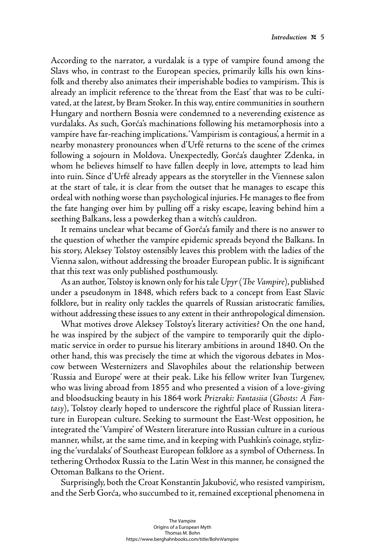According to the narrator, a vurdalak is a type of vampire found among the Slavs who, in contrast to the European species, primarily kills his own kinsfolk and thereby also animates their imperishable bodies to vampirism. This is already an implicit reference to the 'threat from the East' that was to be cultivated, at the latest, by Bram Stoker. In this way, entire communities in southern Hungary and northern Bosnia were condemned to a neverending existence as vurdalaks. As such, Gorća's machinations following his metamorphosis into a vampire have far-reaching implications. 'Vampirism is contagious', a hermit in a nearby monastery pronounces when d'Urfé returns to the scene of the crimes following a sojourn in Moldova. Unexpectedly, Gorća's daughter Zdenka, in whom he believes himself to have fallen deeply in love, attempts to lead him into ruin. Since d'Urfé already appears as the storyteller in the Viennese salon at the start of tale, it is clear from the outset that he manages to escape this ordeal with nothing worse than psychological injuries. He manages to flee from the fate hanging over him by pulling off a risky escape, leaving behind him a seething Balkans, less a powderkeg than a witch's cauldron.

It remains unclear what became of Gorća's family and there is no answer to the question of whether the vampire epidemic spreads beyond the Balkans. In his story, Aleksey Tolstoy ostensibly leaves this problem with the ladies of the Vienna salon, without addressing the broader European public. It is significant that this text was only published posthumously.

As an author, Tolstoy is known only for his tale *Upyr* (*The Vampire*), published under a pseudonym in 1848, which refers back to a concept from East Slavic folklore, but in reality only tackles the quarrels of Russian aristocratic families, without addressing these issues to any extent in their anthropological dimension.

What motives drove Aleksey Tolstoy's literary activities? On the one hand, he was inspired by the subject of the vampire to temporarily quit the diplomatic service in order to pursue his literary ambitions in around 1840. On the other hand, this was precisely the time at which the vigorous debates in Moscow between Westernizers and Slavophiles about the relationship between 'Russia and Europe' were at their peak. Like his fellow writer Ivan Turgenev, who was living abroad from 1855 and who presented a vision of a love-giving and bloodsucking beauty in his 1864 work *Prizraki: Fantasiia* (*Ghosts: A Fantasy*), Tolstoy clearly hoped to underscore the rightful place of Russian literature in European culture. Seeking to surmount the East-West opposition, he integrated the 'Vampire' of Western literature into Russian culture in a curious manner, whilst, at the same time, and in keeping with Pushkin's coinage, stylizing the 'vurdalaks' of Southeast European folklore as a symbol of Otherness. In tethering Orthodox Russia to the Latin West in this manner, he consigned the Ottoman Balkans to the Orient.

Surprisingly, both the Croat Konstantin Jakubović, who resisted vampirism, and the Serb Gorća, who succumbed to it, remained exceptional phenomena in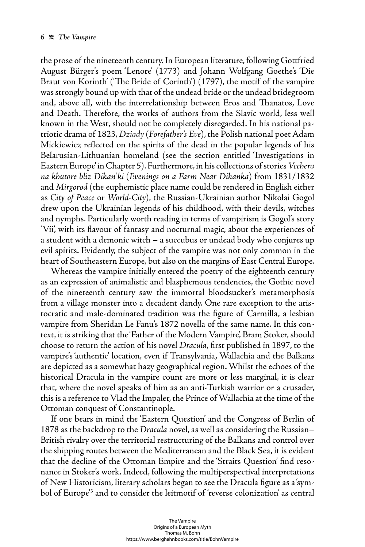the prose of the nineteenth century. In European literature, following Gottfried August Bürger's poem 'Lenore' (1773) and Johann Wolfgang Goethe's 'Die Braut von Korinth' ('The Bride of Corinth') (1797), the motif of the vampire was strongly bound up with that of the undead bride or the undead bridegroom and, above all, with the interrelationship between Eros and Thanatos, Love and Death. Therefore, the works of authors from the Slavic world, less well known in the West, should not be completely disregarded. In his national patriotic drama of 1823, *Dziady* (*Forefather's Eve*), the Polish national poet Adam Mickiewicz reflected on the spirits of the dead in the popular legends of his Belarusian-Lithuanian homeland (see the section entitled 'Investigations in Eastern Europe' in Chapter 5). Furthermore, in his collections of stories *Vechera na khutore bliz Dikan'ki* (*Evenings on a Farm Near Dikanka*) from 1831/1832 and *Mirgorod* (the euphemistic place name could be rendered in English either as *City of Peace* or *World-City*), the Russian-Ukrainian author Nikolai Gogol drew upon the Ukrainian legends of his childhood, with their devils, witches and nymphs. Particularly worth reading in terms of vampirism is Gogol's story 'Vii', with its flavour of fantasy and nocturnal magic, about the experiences of a student with a demonic witch – a succubus or undead body who conjures up evil spirits. Evidently, the subject of the vampire was not only common in the heart of Southeastern Europe, but also on the margins of East Central Europe.

Whereas the vampire initially entered the poetry of the eighteenth century as an expression of animalistic and blasphemous tendencies, the Gothic novel of the nineteenth century saw the immortal bloodsucker's metamorphosis from a village monster into a decadent dandy. One rare exception to the aristocratic and male-dominated tradition was the figure of Carmilla, a lesbian vampire from Sheridan Le Fanu's 1872 novella of the same name. In this context, it is striking that the 'Father of the Modern Vampire', Bram Stoker, should choose to return the action of his novel *Dracula*, first published in 1897, to the vampire's 'authentic' location, even if Transylvania, Wallachia and the Balkans are depicted as a somewhat hazy geographical region. Whilst the echoes of the historical Dracula in the vampire count are more or less marginal, it is clear that, where the novel speaks of him as an anti-Turkish warrior or a crusader, this is a reference to Vlad the Impaler, the Prince of Wallachia at the time of the Ottoman conquest of Constantinople.

If one bears in mind the 'Eastern Question' and the Congress of Berlin of 1878 as the backdrop to the *Dracula* novel, as well as considering the Russian– British rivalry over the territorial restructuring of the Balkans and control over the shipping routes between the Mediterranean and the Black Sea, it is evident that the decline of the Ottoman Empire and the 'Straits Question' find resonance in Stoker's work. Indeed, following the multiperspectival interpretations of New Historicism, literary scholars began to see the Dracula figure as a 'symbol of Europe'3 and to consider the leitmotif of 'reverse colonization' as central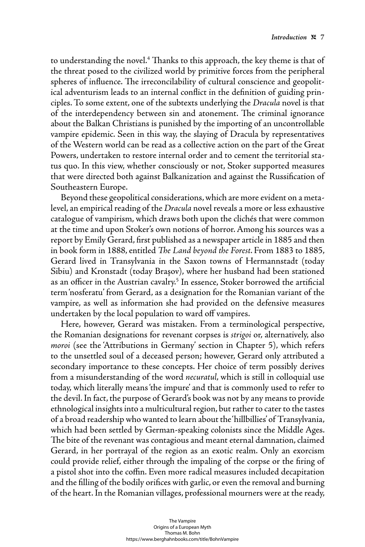to understanding the novel.<sup>4</sup> Thanks to this approach, the key theme is that of the threat posed to the civilized world by primitive forces from the peripheral spheres of influence. The irreconcilability of cultural conscience and geopolitical adventurism leads to an internal conflict in the definition of guiding principles. To some extent, one of the subtexts underlying the *Dracula* novel is that of the interdependency between sin and atonement. The criminal ignorance about the Balkan Christians is punished by the importing of an uncontrollable vampire epidemic. Seen in this way, the slaying of Dracula by representatives of the Western world can be read as a collective action on the part of the Great Powers, undertaken to restore internal order and to cement the territorial status quo. In this view, whether consciously or not, Stoker supported measures that were directed both against Balkanization and against the Russification of Southeastern Europe.

Beyond these geopolitical considerations, which are more evident on a metalevel, an empirical reading of the *Dracula* novel reveals a more or less exhaustive catalogue of vampirism, which draws both upon the clichés that were common at the time and upon Stoker's own notions of horror. Among his sources was a report by Emily Gerard, first published as a newspaper article in 1885 and then in book form in 1888, entitled *The Land beyond the Forest*. From 1883 to 1885, Gerard lived in Transylvania in the Saxon towns of Hermannstadt (today Sibiu) and Kronstadt (today Brașov), where her husband had been stationed as an officer in the Austrian cavalry.<sup>5</sup> In essence, Stoker borrowed the artificial term 'nosferatu' from Gerard, as a designation for the Romanian variant of the vampire, as well as information she had provided on the defensive measures undertaken by the local population to ward off vampires.

Here, however, Gerard was mistaken. From a terminological perspective, the Romanian designations for revenant corpses is *strigoi* or, alternatively, also *moroi* (see the 'Attributions in Germany' section in Chapter 5), which refers to the unsettled soul of a deceased person; however, Gerard only attributed a secondary importance to these concepts. Her choice of term possibly derives from a misunderstanding of the word *necuratul*, which is still in colloquial use today, which literally means 'the impure' and that is commonly used to refer to the devil. In fact, the purpose of Gerard's book was not by any means to provide ethnological insights into a multicultural region, but rather to cater to the tastes of a broad readership who wanted to learn about the 'hillbillies' of Transylvania, which had been settled by German-speaking colonists since the Middle Ages. The bite of the revenant was contagious and meant eternal damnation, claimed Gerard, in her portrayal of the region as an exotic realm. Only an exorcism could provide relief, either through the impaling of the corpse or the firing of a pistol shot into the coffin. Even more radical measures included decapitation and the filling of the bodily orifices with garlic, or even the removal and burning of the heart. In the Romanian villages, professional mourners were at the ready,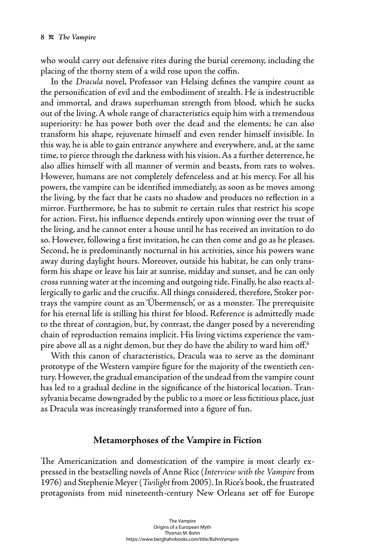who would carry out defensive rites during the burial ceremony, including the placing of the thorny stem of a wild rose upon the coffin.

In the *Dracula* novel, Professor van Helsing defines the vampire count as the personification of evil and the embodiment of stealth. He is indestructible and immortal, and draws superhuman strength from blood, which he sucks out of the living. A whole range of characteristics equip him with a tremendous superiority: he has power both over the dead and the elements; he can also transform his shape, rejuvenate himself and even render himself invisible. In this way, he is able to gain entrance anywhere and everywhere, and, at the same time, to pierce through the darkness with his vision. As a further deterrence, he also allies himself with all manner of vermin and beasts, from rats to wolves. However, humans are not completely defenceless and at his mercy. For all his powers, the vampire can be identified immediately, as soon as he moves among the living, by the fact that he casts no shadow and produces no reflection in a mirror. Furthermore, he has to submit to certain rules that restrict his scope for action. First, his influence depends entirely upon winning over the trust of the living, and he cannot enter a house until he has received an invitation to do so. However, following a first invitation, he can then come and go as he pleases. Second, he is predominantly nocturnal in his activities, since his powers wane away during daylight hours. Moreover, outside his habitat, he can only transform his shape or leave his lair at sunrise, midday and sunset, and he can only cross running water at the incoming and outgoing tide. Finally, he also reacts allergically to garlic and the crucifix. All things considered, therefore, Stoker portrays the vampire count as an 'Übermensch', or as a monster. The prerequisite for his eternal life is stilling his thirst for blood. Reference is admittedly made to the threat of contagion, but, by contrast, the danger posed by a neverending chain of reproduction remains implicit. His living victims experience the vampire above all as a night demon, but they do have the ability to ward him off.<sup>6</sup>

With this canon of characteristics, Dracula was to serve as the dominant prototype of the Western vampire figure for the majority of the twentieth century. However, the gradual emancipation of the undead from the vampire count has led to a gradual decline in the significance of the historical location. Transylvania became downgraded by the public to a more or less fictitious place, just as Dracula was increasingly transformed into a figure of fun.

#### **Metamorphoses of the Vampire in Fiction**

The Americanization and domestication of the vampire is most clearly expressed in the bestselling novels of Anne Rice (*Interview with the Vampire* from 1976) and Stephenie Meyer (*Twilight* from 2005). In Rice's book, the frustrated protagonists from mid nineteenth-century New Orleans set off for Europe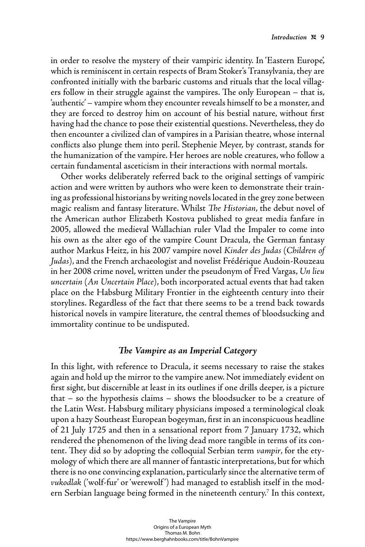in order to resolve the mystery of their vampiric identity. In 'Eastern Europe', which is reminiscent in certain respects of Bram Stoker's Transylvania, they are confronted initially with the barbaric customs and rituals that the local villagers follow in their struggle against the vampires. The only European – that is, 'authentic' – vampire whom they encounter reveals himself to be a monster, and they are forced to destroy him on account of his bestial nature, without first having had the chance to pose their existential questions. Nevertheless, they do then encounter a civilized clan of vampires in a Parisian theatre, whose internal conflicts also plunge them into peril. Stephenie Meyer, by contrast, stands for the humanization of the vampire. Her heroes are noble creatures, who follow a certain fundamental asceticism in their interactions with normal mortals.

Other works deliberately referred back to the original settings of vampiric action and were written by authors who were keen to demonstrate their training as professional historians by writing novels located in the grey zone between magic realism and fantasy literature. Whilst *The Historian*, the debut novel of the American author Elizabeth Kostova published to great media fanfare in 2005, allowed the medieval Wallachian ruler Vlad the Impaler to come into his own as the alter ego of the vampire Count Dracula, the German fantasy author Markus Heitz, in his 2007 vampire novel *Kinder des Judas* (*Children of Judas*), and the French archaeologist and novelist Frédérique Audoin-Rouzeau in her 2008 crime novel, written under the pseudonym of Fred Vargas, *Un lieu uncertain* (*An Uncertain Place*), both incorporated actual events that had taken place on the Habsburg Military Frontier in the eighteenth century into their storylines. Regardless of the fact that there seems to be a trend back towards historical novels in vampire literature, the central themes of bloodsucking and immortality continue to be undisputed.

#### *The Vampire as an Imperial Category*

In this light, with reference to Dracula, it seems necessary to raise the stakes again and hold up the mirror to the vampire anew. Not immediately evident on first sight, but discernible at least in its outlines if one drills deeper, is a picture that – so the hypothesis claims – shows the bloodsucker to be a creature of the Latin West. Habsburg military physicians imposed a terminological cloak upon a hazy Southeast European bogeyman, first in an inconspicuous headline of 21 July 1725 and then in a sensational report from 7 January 1732, which rendered the phenomenon of the living dead more tangible in terms of its content. They did so by adopting the colloquial Serbian term *vampir*, for the etymology of which there are all manner of fantastic interpretations, but for which there is no one convincing explanation, particularly since the alternative term of *vukodlak* ('wolf-fur' or 'werewolf ') had managed to establish itself in the modern Serbian language being formed in the nineteenth century.7 In this context,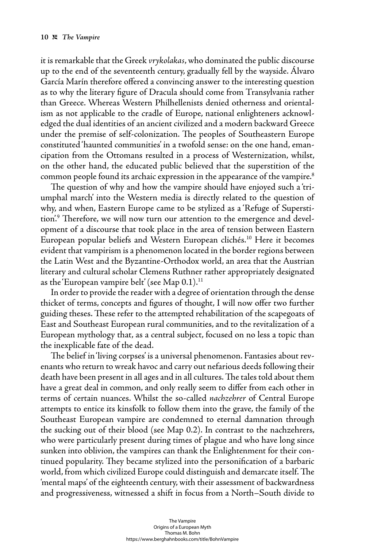it is remarkable that the Greek *vrykolakas*, who dominated the public discourse up to the end of the seventeenth century, gradually fell by the wayside. Álvaro García Marín therefore offered a convincing answer to the interesting question as to why the literary figure of Dracula should come from Transylvania rather than Greece. Whereas Western Philhellenists denied otherness and orientalism as not applicable to the cradle of Europe, national enlighteners acknowledged the dual identities of an ancient civilized and a modern backward Greece under the premise of self-colonization. The peoples of Southeastern Europe constituted 'haunted communities' in a twofold sense: on the one hand, emancipation from the Ottomans resulted in a process of Westernization, whilst, on the other hand, the educated public believed that the superstition of the common people found its archaic expression in the appearance of the vampire.8

The question of why and how the vampire should have enjoyed such a triumphal march' into the Western media is directly related to the question of why, and when, Eastern Europe came to be stylized as a 'Refuge of Superstition.<sup>9</sup> Therefore, we will now turn our attention to the emergence and development of a discourse that took place in the area of tension between Eastern European popular beliefs and Western European clichés.10 Here it becomes evident that vampirism is a phenomenon located in the border regions between the Latin West and the Byzantine-Orthodox world, an area that the Austrian literary and cultural scholar Clemens Ruthner rather appropriately designated as the 'European vampire belt' (see Map  $0.1$ ).<sup>11</sup>

In order to provide the reader with a degree of orientation through the dense thicket of terms, concepts and figures of thought, I will now offer two further guiding theses. These refer to the attempted rehabilitation of the scapegoats of East and Southeast European rural communities, and to the revitalization of a European mythology that, as a central subject, focused on no less a topic than the inexplicable fate of the dead.

The belief in 'living corpses' is a universal phenomenon. Fantasies about revenants who return to wreak havoc and carry out nefarious deeds following their death have been present in all ages and in all cultures. The tales told about them have a great deal in common, and only really seem to differ from each other in terms of certain nuances. Whilst the so-called *nachzehrer* of Central Europe attempts to entice its kinsfolk to follow them into the grave, the family of the Southeast European vampire are condemned to eternal damnation through the sucking out of their blood (see Map 0.2). In contrast to the nachzehrers, who were particularly present during times of plague and who have long since sunken into oblivion, the vampires can thank the Enlightenment for their continued popularity. They became stylized into the personification of a barbaric world, from which civilized Europe could distinguish and demarcate itself. The 'mental maps' of the eighteenth century, with their assessment of backwardness and progressiveness, witnessed a shift in focus from a North–South divide to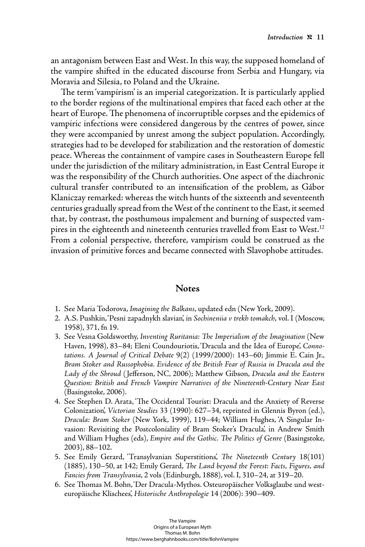an antagonism between East and West. In this way, the supposed homeland of the vampire shifted in the educated discourse from Serbia and Hungary, via Moravia and Silesia, to Poland and the Ukraine.

The term 'vampirism' is an imperial categorization. It is particularly applied to the border regions of the multinational empires that faced each other at the heart of Europe. The phenomena of incorruptible corpses and the epidemics of vampiric infections were considered dangerous by the centres of power, since they were accompanied by unrest among the subject population. Accordingly, strategies had to be developed for stabilization and the restoration of domestic peace. Whereas the containment of vampire cases in Southeastern Europe fell under the jurisdiction of the military administration, in East Central Europe it was the responsibility of the Church authorities. One aspect of the diachronic cultural transfer contributed to an intensification of the problem, as Gábor Klaniczay remarked: whereas the witch hunts of the sixteenth and seventeenth centuries gradually spread from the West of the continent to the East, it seemed that, by contrast, the posthumous impalement and burning of suspected vampires in the eighteenth and nineteenth centuries travelled from East to West.<sup>12</sup> From a colonial perspective, therefore, vampirism could be construed as the invasion of primitive forces and became connected with Slavophobe attitudes.

#### **Notes**

- 1. See Maria Todorova, *Imagining the Balkans*, updated edn (New York, 2009).
- 2. A.S. Pushkin, 'Pesni zapadnykh slavian', in *Sochineniia v trekh tomakch*, vol. I (Moscow, 1958), 371, fn 19.
- 3. See Vesna Goldsworthy, *Inventing Ruritania: The Imperialism of the Imagination* (New Haven, 1998), 83–84; Eleni Coundouriotis, 'Dracula and the Idea of Europe', *Connotations. A Journal of Critical Debate* 9(2) (1999/2000): 143–60; Jimmie E. Cain Jr., *Bram Stoker and Russophobia. Evidence of the British Fear of Russia in Dracula and the Lady of the Shroud* ( Jeff erson, NC, 2006); Matthew Gibson, *Dracula and the Eastern Question: British and French Vampire Narratives of the Nineteenth-Century Near East* (Basingstoke, 2006).
- 4. See Stephen D. Arata, 'The Occidental Tourist: Dracula and the Anxiety of Reverse Colonization', *Victorian Studies* 33 (1990): 627–34, reprinted in Glennis Byron (ed.), *Dracula: Bram Stoker* (New York, 1999), 119–44; William Hughes, 'A Singular Invasion: Revisiting the Postcoloniality of Bram Stoker's Dracula', in Andrew Smith and William Hughes (eds), *Empire and the Gothic. The Politics of Genre* (Basingstoke, 2003), 88–102.
- 5. See Emily Gerard, 'Transylvanian Superstitions', *The Nineteenth Century* 18(101) (1885), 130–50, at 142; Emily Gerard, *The Land beyond the Forest: Facts*, *Figures*, and *Fancies from Transylvania*, 2 vols (Edinburgh, 1888), vol. I, 310–24, at 319–20.
- 6. See Th omas M. Bohn, 'Der Dracula-Mythos. Osteuropäischer Volksglaube und westeuropäische Klischees', *Historische Anthropologie* 14 (2006): 390–409.